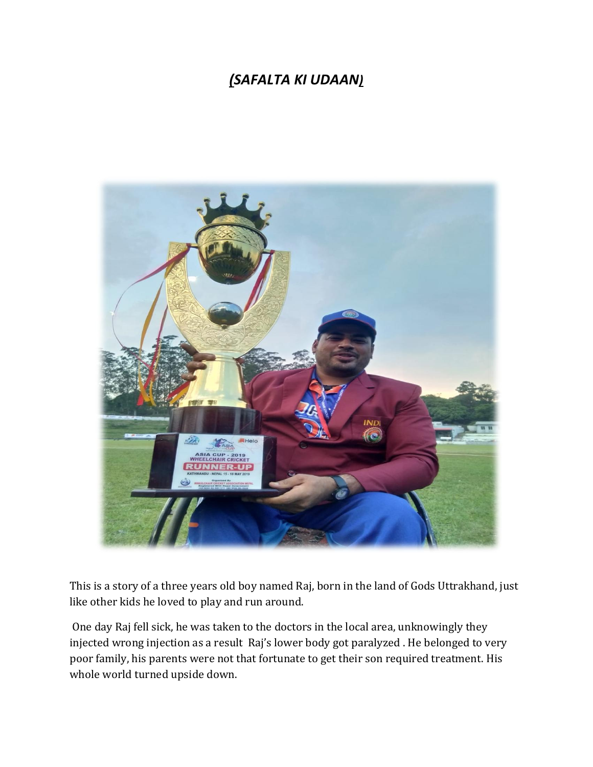## *(SAFALTA KI UDAAN)*



This is a story of a three years old boy named Raj, born in the land of Gods Uttrakhand, just like other kids he loved to play and run around.

One day Raj fell sick, he was taken to the doctors in the local area, unknowingly they injected wrong injection as a result Raj's lower body got paralyzed . He belonged to very poor family, his parents were not that fortunate to get their son required treatment. His whole world turned upside down.